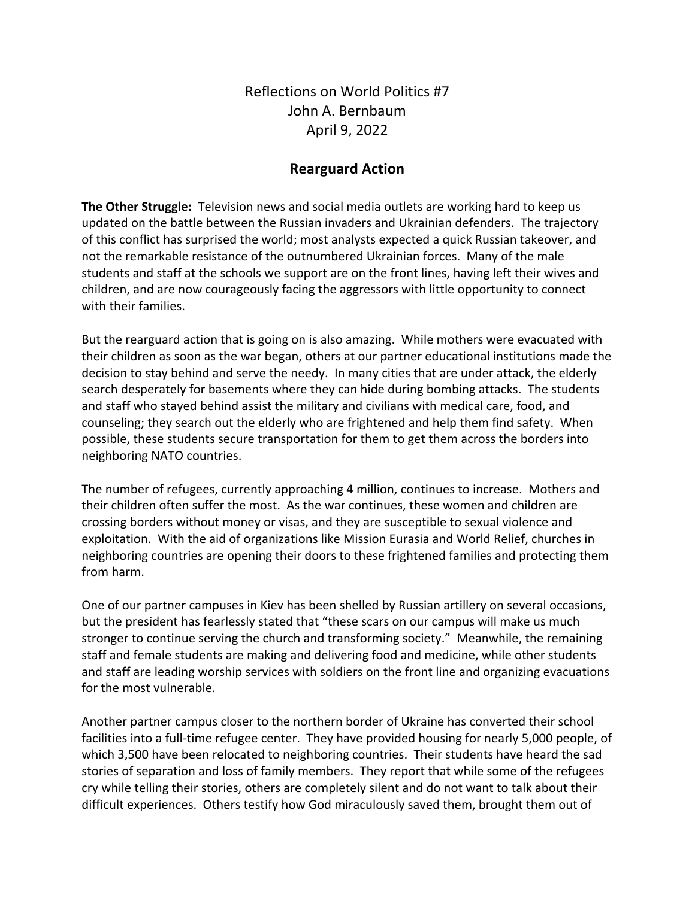## Reflections on World Politics #7 John A. Bernbaum April 9, 2022

## **Rearguard Action**

**The Other Struggle:** Television news and social media outlets are working hard to keep us updated on the battle between the Russian invaders and Ukrainian defenders. The trajectory of this conflict has surprised the world; most analysts expected a quick Russian takeover, and not the remarkable resistance of the outnumbered Ukrainian forces. Many of the male students and staff at the schools we support are on the front lines, having left their wives and children, and are now courageously facing the aggressors with little opportunity to connect with their families.

But the rearguard action that is going on is also amazing. While mothers were evacuated with their children as soon as the war began, others at our partner educational institutions made the decision to stay behind and serve the needy. In many cities that are under attack, the elderly search desperately for basements where they can hide during bombing attacks. The students and staff who stayed behind assist the military and civilians with medical care, food, and counseling; they search out the elderly who are frightened and help them find safety. When possible, these students secure transportation for them to get them across the borders into neighboring NATO countries.

The number of refugees, currently approaching 4 million, continues to increase. Mothers and their children often suffer the most. As the war continues, these women and children are crossing borders without money or visas, and they are susceptible to sexual violence and exploitation. With the aid of organizations like Mission Eurasia and World Relief, churches in neighboring countries are opening their doors to these frightened families and protecting them from harm.

One of our partner campuses in Kiev has been shelled by Russian artillery on several occasions, but the president has fearlessly stated that "these scars on our campus will make us much stronger to continue serving the church and transforming society." Meanwhile, the remaining staff and female students are making and delivering food and medicine, while other students and staff are leading worship services with soldiers on the front line and organizing evacuations for the most vulnerable.

Another partner campus closer to the northern border of Ukraine has converted their school facilities into a full-time refugee center. They have provided housing for nearly 5,000 people, of which 3,500 have been relocated to neighboring countries. Their students have heard the sad stories of separation and loss of family members. They report that while some of the refugees cry while telling their stories, others are completely silent and do not want to talk about their difficult experiences. Others testify how God miraculously saved them, brought them out of